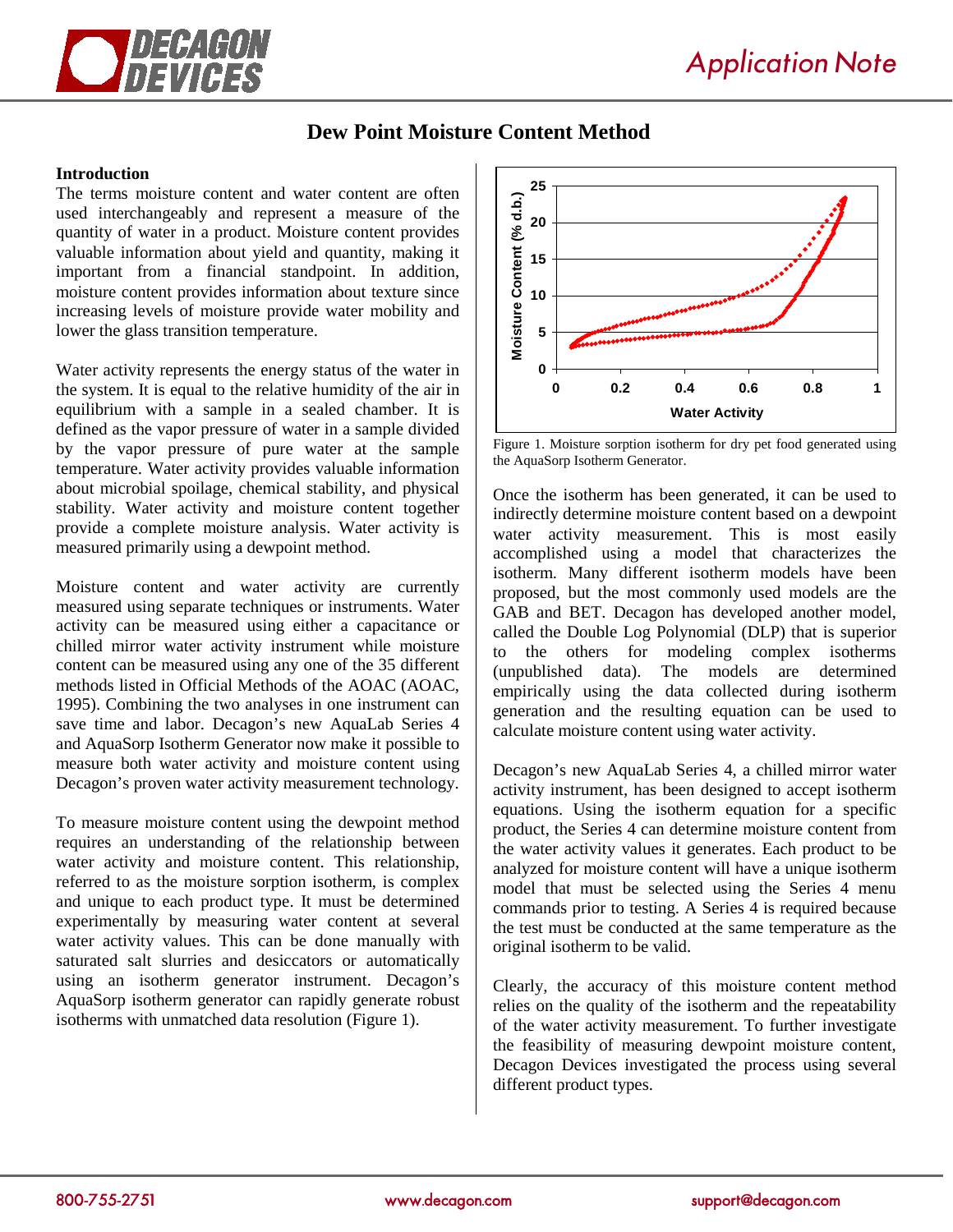

## **Dew Point Moisture Content Method**

### **Introduction**

The terms moisture content and water content are often used interchangeably and represent a measure of the quantity of water in a product. Moisture content provides valuable information about yield and quantity, making it important from a financial standpoint. In addition, moisture content provides information about texture since increasing levels of moisture provide water mobility and lower the glass transition temperature.

Water activity represents the energy status of the water in the system. It is equal to the relative humidity of the air in equilibrium with a sample in a sealed chamber. It is defined as the vapor pressure of water in a sample divided by the vapor pressure of pure water at the sample temperature. Water activity provides valuable information about microbial spoilage, chemical stability, and physical stability. Water activity and moisture content together provide a complete moisture analysis. Water activity is measured primarily using a dewpoint method.

Moisture content and water activity are currently measured using separate techniques or instruments. Water activity can be measured using either a capacitance or chilled mirror water activity instrument while moisture content can be measured using any one of the 35 different methods listed in Official Methods of the AOAC (AOAC, 1995). Combining the two analyses in one instrument can save time and labor. Decagon's new AquaLab Series 4 and AquaSorp Isotherm Generator now make it possible to measure both water activity and moisture content using Decagon's proven water activity measurement technology.

To measure moisture content using the dewpoint method requires an understanding of the relationship between water activity and moisture content. This relationship, referred to as the moisture sorption isotherm, is complex and unique to each product type. It must be determined experimentally by measuring water content at several water activity values. This can be done manually with saturated salt slurries and desiccators or automatically using an isotherm generator instrument. Decagon's AquaSorp isotherm generator can rapidly generate robust isotherms with unmatched data resolution (Figure 1).



Figure 1. Moisture sorption isotherm for dry pet food generated using the AquaSorp Isotherm Generator.

Once the isotherm has been generated, it can be used to indirectly determine moisture content based on a dewpoint water activity measurement. This is most easily accomplished using a model that characterizes the isotherm. Many different isotherm models have been proposed, but the most commonly used models are the GAB and BET. Decagon has developed another model, called the Double Log Polynomial (DLP) that is superior to the others for modeling complex isotherms (unpublished data). The models are determined empirically using the data collected during isotherm generation and the resulting equation can be used to calculate moisture content using water activity.

Decagon's new AquaLab Series 4, a chilled mirror water activity instrument, has been designed to accept isotherm equations. Using the isotherm equation for a specific product, the Series 4 can determine moisture content from the water activity values it generates. Each product to be analyzed for moisture content will have a unique isotherm model that must be selected using the Series 4 menu commands prior to testing. A Series 4 is required because the test must be conducted at the same temperature as the original isotherm to be valid.

Clearly, the accuracy of this moisture content method relies on the quality of the isotherm and the repeatability of the water activity measurement. To further investigate the feasibility of measuring dewpoint moisture content, Decagon Devices investigated the process using several different product types.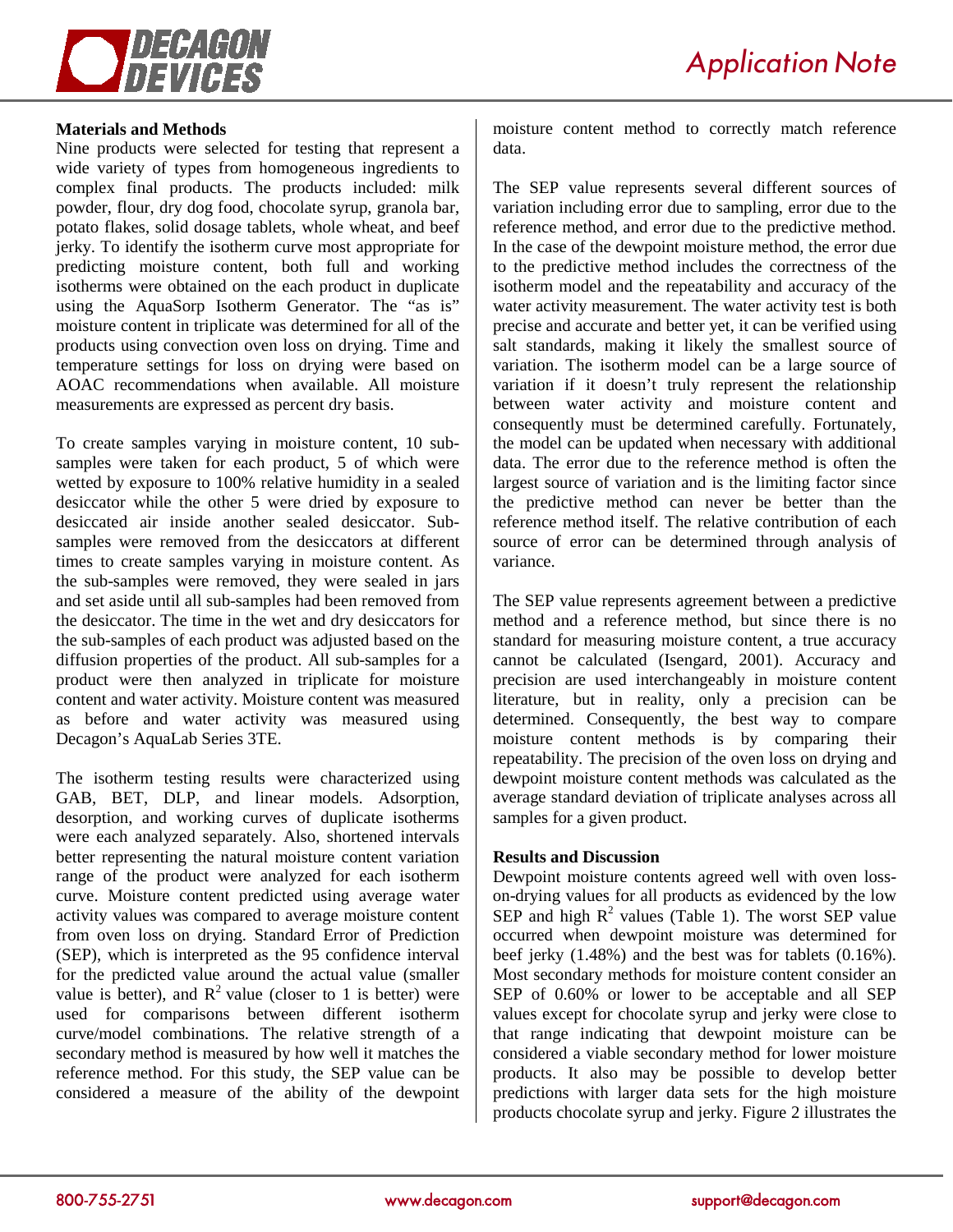

Nine products were selected for testing that represent a wide variety of types from homogeneous ingredients to complex final products. The products included: milk powder, flour, dry dog food, chocolate syrup, granola bar, potato flakes, solid dosage tablets, whole wheat, and beef jerky. To identify the isotherm curve most appropriate for predicting moisture content, both full and working isotherms were obtained on the each product in duplicate using the AquaSorp Isotherm Generator. The "as is" moisture content in triplicate was determined for all of the products using convection oven loss on drying. Time and temperature settings for loss on drying were based on AOAC recommendations when available. All moisture measurements are expressed as percent dry basis.

To create samples varying in moisture content, 10 subsamples were taken for each product, 5 of which were wetted by exposure to 100% relative humidity in a sealed desiccator while the other 5 were dried by exposure to desiccated air inside another sealed desiccator. Subsamples were removed from the desiccators at different times to create samples varying in moisture content. As the sub-samples were removed, they were sealed in jars and set aside until all sub-samples had been removed from the desiccator. The time in the wet and dry desiccators for the sub-samples of each product was adjusted based on the diffusion properties of the product. All sub-samples for a product were then analyzed in triplicate for moisture content and water activity. Moisture content was measured as before and water activity was measured using Decagon's AquaLab Series 3TE.

The isotherm testing results were characterized using GAB, BET, DLP, and linear models. Adsorption, desorption, and working curves of duplicate isotherms were each analyzed separately. Also, shortened intervals better representing the natural moisture content variation range of the product were analyzed for each isotherm curve. Moisture content predicted using average water activity values was compared to average moisture content from oven loss on drying. Standard Error of Prediction (SEP), which is interpreted as the 95 confidence interval for the predicted value around the actual value (smaller value is better), and  $R^2$  value (closer to 1 is better) were used for comparisons between different isotherm curve/model combinations. The relative strength of a secondary method is measured by how well it matches the reference method. For this study, the SEP value can be considered a measure of the ability of the dewpoint moisture content method to correctly match reference data.

The SEP value represents several different sources of variation including error due to sampling, error due to the reference method, and error due to the predictive method. In the case of the dewpoint moisture method, the error due to the predictive method includes the correctness of the isotherm model and the repeatability and accuracy of the water activity measurement. The water activity test is both precise and accurate and better yet, it can be verified using salt standards, making it likely the smallest source of variation. The isotherm model can be a large source of variation if it doesn't truly represent the relationship between water activity and moisture content and consequently must be determined carefully. Fortunately, the model can be updated when necessary with additional data. The error due to the reference method is often the largest source of variation and is the limiting factor since the predictive method can never be better than the reference method itself. The relative contribution of each source of error can be determined through analysis of variance.

The SEP value represents agreement between a predictive method and a reference method, but since there is no standard for measuring moisture content, a true accuracy cannot be calculated (Isengard, 2001). Accuracy and precision are used interchangeably in moisture content literature, but in reality, only a precision can be determined. Consequently, the best way to compare moisture content methods is by comparing their repeatability. The precision of the oven loss on drying and dewpoint moisture content methods was calculated as the average standard deviation of triplicate analyses across all samples for a given product.

### **Results and Discussion**

Dewpoint moisture contents agreed well with oven losson-drying values for all products as evidenced by the low SEP and high  $R^2$  values (Table 1). The worst SEP value occurred when dewpoint moisture was determined for beef jerky (1.48%) and the best was for tablets (0.16%). Most secondary methods for moisture content consider an SEP of 0.60% or lower to be acceptable and all SEP values except for chocolate syrup and jerky were close to that range indicating that dewpoint moisture can be considered a viable secondary method for lower moisture products. It also may be possible to develop better predictions with larger data sets for the high moisture products chocolate syrup and jerky. Figure 2 illustrates the